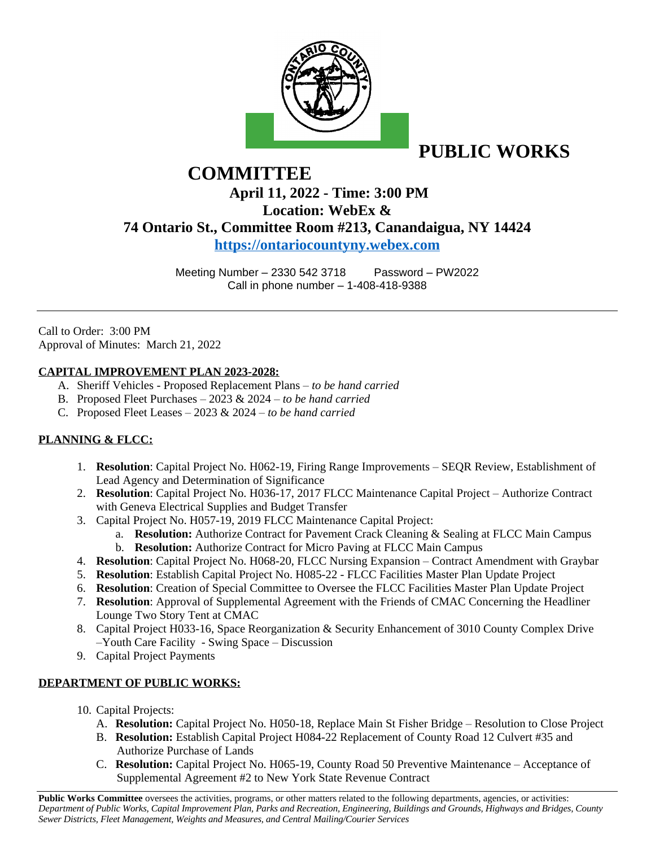

**PUBLIC WORKS** 

# **COMMITTEE April 11, 2022 - Time: 3:00 PM Location: WebEx & 74 Ontario St., Committee Room #213, Canandaigua, NY 14424 <https://ontariocountyny.webex.com>**

Meeting Number – 2330 542 3718 Password – PW2022 Call in phone number – 1-408-418-9388

Call to Order: 3:00 PM Approval of Minutes: March 21, 2022

### **CAPITAL IMPROVEMENT PLAN 2023-2028:**

- A. Sheriff Vehicles Proposed Replacement Plans *to be hand carried*
- B. Proposed Fleet Purchases 2023 & 2024 *to be hand carried*
- C. Proposed Fleet Leases 2023 & 2024 *to be hand carried*

### **PLANNING & FLCC:**

- 1. **Resolution**: Capital Project No. H062-19, Firing Range Improvements SEQR Review, Establishment of Lead Agency and Determination of Significance
- 2. **Resolution**: Capital Project No. H036-17, 2017 FLCC Maintenance Capital Project Authorize Contract with Geneva Electrical Supplies and Budget Transfer
- 3. Capital Project No. H057-19, 2019 FLCC Maintenance Capital Project:
	- a. **Resolution:** Authorize Contract for Pavement Crack Cleaning & Sealing at FLCC Main Campus b. **Resolution:** Authorize Contract for Micro Paving at FLCC Main Campus
- 4. **Resolution**: Capital Project No. H068-20, FLCC Nursing Expansion Contract Amendment with Graybar
- 5. **Resolution**: Establish Capital Project No. H085-22 FLCC Facilities Master Plan Update Project
- 6. **Resolution**: Creation of Special Committee to Oversee the FLCC Facilities Master Plan Update Project
- 7. **Resolution**: Approval of Supplemental Agreement with the Friends of CMAC Concerning the Headliner Lounge Two Story Tent at CMAC
- 8. Capital Project H033-16, Space Reorganization & Security Enhancement of 3010 County Complex Drive –Youth Care Facility - Swing Space – Discussion
- 9. Capital Project Payments

### **DEPARTMENT OF PUBLIC WORKS:**

- 10. Capital Projects:
	- A. **Resolution:** Capital Project No. H050-18, Replace Main St Fisher Bridge Resolution to Close Project
	- B. **Resolution:** Establish Capital Project H084-22 Replacement of County Road 12 Culvert #35 and Authorize Purchase of Lands
	- C. **Resolution:** Capital Project No. H065-19, County Road 50 Preventive Maintenance Acceptance of Supplemental Agreement #2 to New York State Revenue Contract